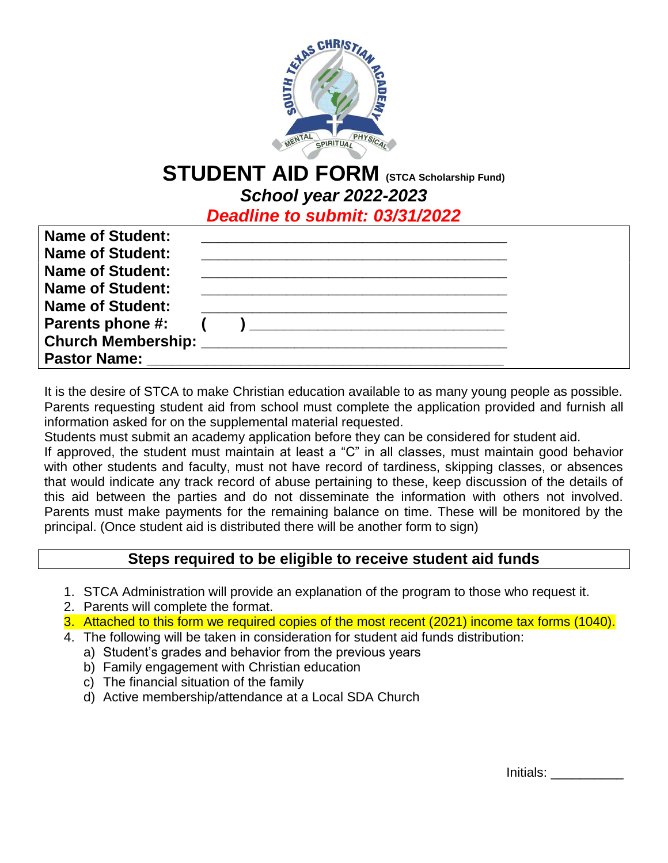

# **STUDENT AID FORM (STCA Scholarship Fund)** *School year 2022-2023*

*Deadline to submit: 03/31/2022*

| <b>Name of Student:</b> |  |
|-------------------------|--|
| <b>Name of Student:</b> |  |
| <b>Name of Student:</b> |  |
| <b>Name of Student:</b> |  |
| <b>Name of Student:</b> |  |
| <b>Parents phone #:</b> |  |
|                         |  |
| <b>Pastor Name:</b>     |  |

It is the desire of STCA to make Christian education available to as many young people as possible. Parents requesting student aid from school must complete the application provided and furnish all information asked for on the supplemental material requested.

Students must submit an academy application before they can be considered for student aid.

If approved, the student must maintain at least a "C" in all classes, must maintain good behavior with other students and faculty, must not have record of tardiness, skipping classes, or absences that would indicate any track record of abuse pertaining to these, keep discussion of the details of this aid between the parties and do not disseminate the information with others not involved. Parents must make payments for the remaining balance on time. These will be monitored by the principal. (Once student aid is distributed there will be another form to sign)

# **Steps required to be eligible to receive student aid funds**

- 1. STCA Administration will provide an explanation of the program to those who request it.
- 2. Parents will complete the format.
- 3. Attached to this form we required copies of the most recent (2021) income tax forms (1040).
- 4. The following will be taken in consideration for student aid funds distribution:
	- a) Student's grades and behavior from the previous years
	- b) Family engagement with Christian education
	- c) The financial situation of the family
	- d) Active membership/attendance at a Local SDA Church

Initials: \_\_\_\_\_\_\_\_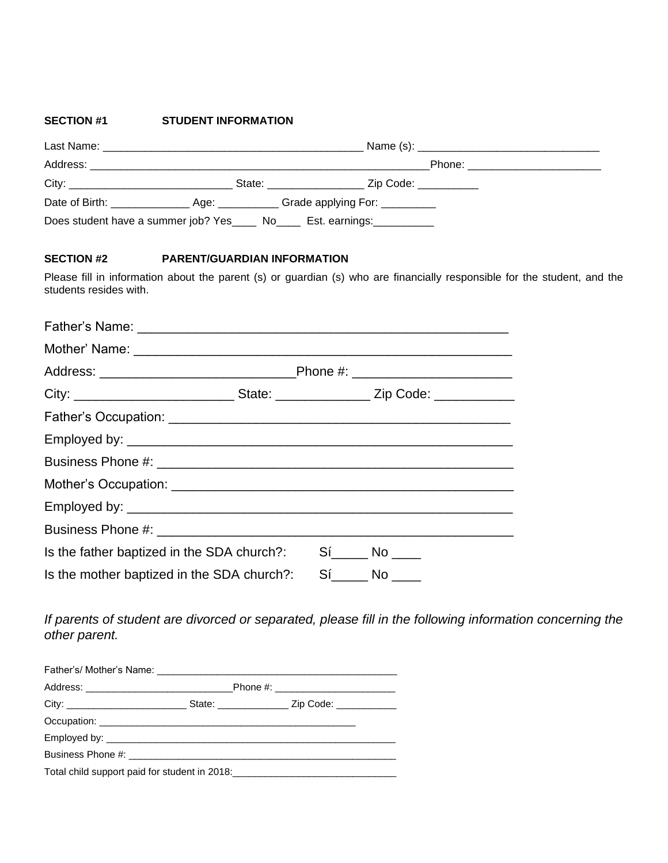#### **SECTION #1 STUDENT INFORMATION**

| City: 2008 2014 2015 2016 2017 2020 2021 2022 2023 2024 2022 2023 2024 2022 2023 2024 2022 2023 2024 2025 2026 | Zip Code: __________                                                         |
|----------------------------------------------------------------------------------------------------------------|------------------------------------------------------------------------------|
|                                                                                                                |                                                                              |
|                                                                                                                | Does student have a summer job? Yes _____ No_____ Est. earnings: ___________ |

#### **SECTION #2 PARENT/GUARDIAN INFORMATION**

Please fill in information about the parent (s) or guardian (s) who are financially responsible for the student, and the students resides with.

| City: _______________________________State: ____________________Zip Code: _____________ |  |
|-----------------------------------------------------------------------------------------|--|
|                                                                                         |  |
|                                                                                         |  |
|                                                                                         |  |
|                                                                                         |  |
|                                                                                         |  |
|                                                                                         |  |
| Is the father baptized in the SDA church?: Sí_____ No ____                              |  |
| Is the mother baptized in the SDA church?: Sí No                                        |  |

*If parents of student are divorced or separated, please fill in the following information concerning the other parent.*

| Total child support paid for student in 2018: |  |
|-----------------------------------------------|--|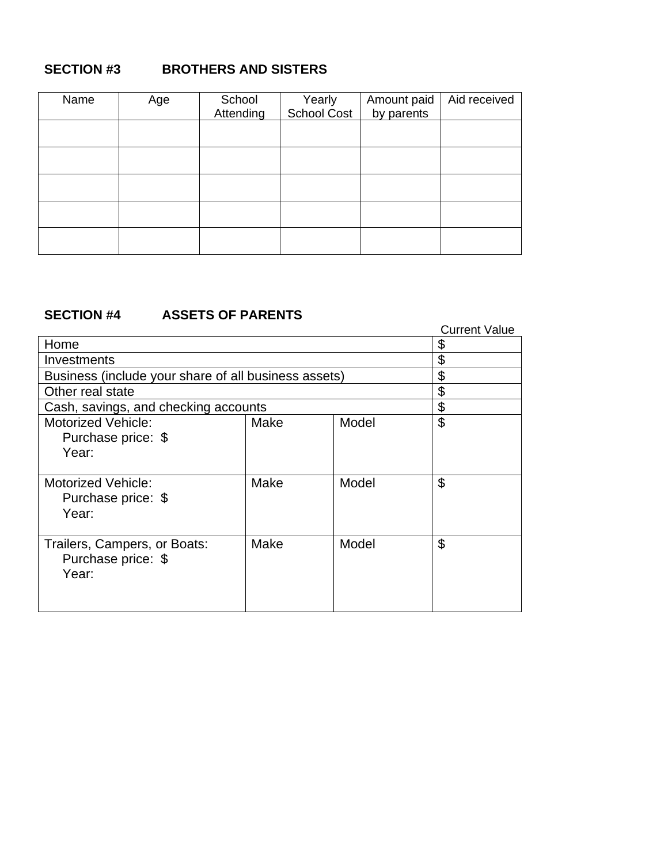# **SECTION #3 BROTHERS AND SISTERS**

| Name | Age | School<br>Attending | Yearly<br>School Cost | Amount paid<br>by parents | Aid received |
|------|-----|---------------------|-----------------------|---------------------------|--------------|
|      |     |                     |                       |                           |              |
|      |     |                     |                       |                           |              |
|      |     |                     |                       |                           |              |
|      |     |                     |                       |                           |              |
|      |     |                     |                       |                           |              |

# **SECTION #4 ASSETS OF PARENTS**

|                                                      |      |       | <b>Current Value</b> |
|------------------------------------------------------|------|-------|----------------------|
| Home                                                 |      |       | \$                   |
| Investments                                          |      |       | \$                   |
| Business (include your share of all business assets) |      |       | \$                   |
| Other real state                                     |      |       | \$                   |
| Cash, savings, and checking accounts                 |      |       | \$                   |
| <b>Motorized Vehicle:</b>                            | Make | Model | \$                   |
| Purchase price: \$<br>Year:                          |      |       |                      |
|                                                      |      |       |                      |
| <b>Motorized Vehicle:</b>                            | Make | Model | \$                   |
| Purchase price: \$                                   |      |       |                      |
| Year:                                                |      |       |                      |
|                                                      |      |       | \$                   |
| Trailers, Campers, or Boats:<br>Purchase price: \$   | Make | Model |                      |
| Year:                                                |      |       |                      |
|                                                      |      |       |                      |
|                                                      |      |       |                      |